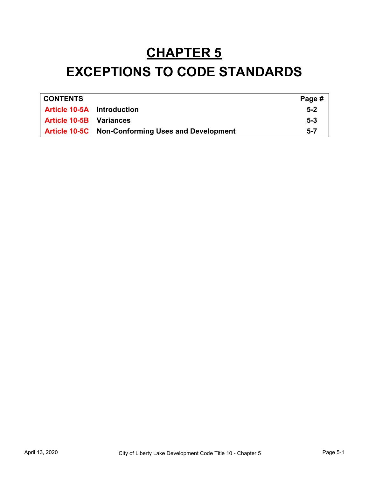# **CHAPTER 5 EXCEPTIONS TO CODE STANDARDS**

| <b>CONTENTS</b>                   |                                                          | Page #  |
|-----------------------------------|----------------------------------------------------------|---------|
| <b>Article 10-5A</b> Introduction |                                                          | $5 - 2$ |
| <b>Article 10-5B</b> Variances    |                                                          | $5 - 3$ |
|                                   | <b>Article 10-5C</b> Non-Conforming Uses and Development | $5 - 7$ |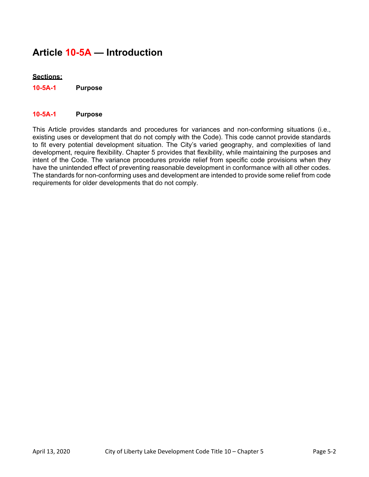## **Article 10-5A — Introduction**

#### **Sections:**

**10-5A-1 Purpose**

#### **10-5A-1 Purpose**

This Article provides standards and procedures for variances and non-conforming situations (i.e., existing uses or development that do not comply with the Code). This code cannot provide standards to fit every potential development situation. The City's varied geography, and complexities of land development, require flexibility. Chapter 5 provides that flexibility, while maintaining the purposes and intent of the Code. The variance procedures provide relief from specific code provisions when they have the unintended effect of preventing reasonable development in conformance with all other codes. The standards for non-conforming uses and development are intended to provide some relief from code requirements for older developments that do not comply.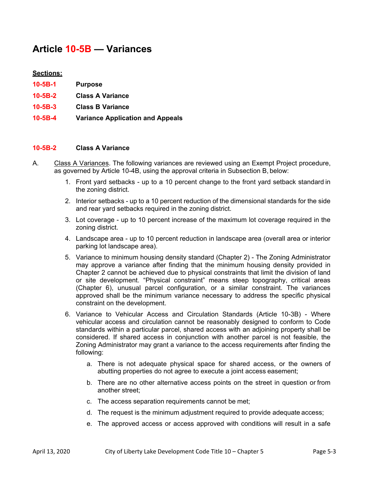### **Article 10-5B — Variances**

#### **Sections:**

- **10-5B-1 Purpose**
- **10-5B-2 Class A Variance**
- **10-5B-3 Class B Variance**
- **10-5B-4 Variance Application and Appeals**

#### **10-5B-2 Class A Variance**

- A. Class A Variances. The following variances are reviewed using an Exempt Project procedure, as governed by Article 10-4B, using the approval criteria in Subsection B, below:
	- 1. Front yard setbacks up to a 10 percent change to the front yard setback standard in the zoning district.
	- 2. Interior setbacks up to a 10 percent reduction of the dimensional standards for the side and rear yard setbacks required in the zoning district.
	- 3. Lot coverage up to 10 percent increase of the maximum lot coverage required in the zoning district.
	- 4. Landscape area up to 10 percent reduction in landscape area (overall area or interior parking lot landscape area).
	- 5. Variance to minimum housing density standard (Chapter 2) The Zoning Administrator may approve a variance after finding that the minimum housing density provided in Chapter 2 cannot be achieved due to physical constraints that limit the division of land or site development. "Physical constraint" means steep topography, critical areas (Chapter 6), unusual parcel configuration, or a similar constraint. The variances approved shall be the minimum variance necessary to address the specific physical constraint on the development.
	- 6. Variance to Vehicular Access and Circulation Standards (Article 10-3B) Where vehicular access and circulation cannot be reasonably designed to conform to Code standards within a particular parcel, shared access with an adjoining property shall be considered. If shared access in conjunction with another parcel is not feasible, the Zoning Administrator may grant a variance to the access requirements after finding the following:
		- a. There is not adequate physical space for shared access, or the owners of abutting properties do not agree to execute a joint access easement;
		- b. There are no other alternative access points on the street in question or from another street;
		- c. The access separation requirements cannot be met;
		- d. The request is the minimum adjustment required to provide adequate access;
		- e. The approved access or access approved with conditions will result in a safe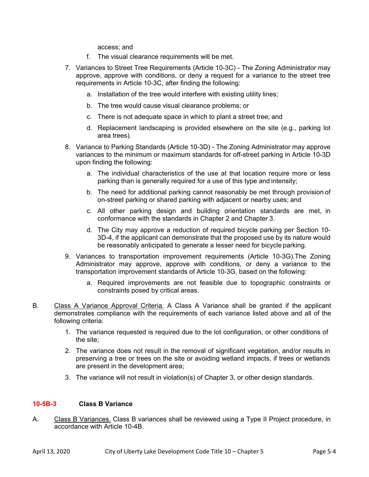access; and

- f. The visual clearance requirements will be met.
- 7. Variances to Street Tree Requirements (Article 10-3C) The Zoning Administrator may approve, approve with conditions, or deny a request for a variance to the street tree requirements in Article 10-3C, after finding the following:
	- a. Installation of the tree would interfere with existing utility lines;
	- b. The tree would cause visual clearance problems; or
	- c. There is not adequate space in which to plant a street tree; and
	- d. Replacement landscaping is provided elsewhere on the site (e.g., parking lot area trees).
- 8. Variance to Parking Standards (Article 10-3D) The Zoning Administrator may approve variances to the minimum or maximum standards for off-street parking in Article 10-3D upon finding the following:
	- a. The individual characteristics of the use at that location require more or less parking than is generally required for a use of this type and intensity;
	- b. The need for additional parking cannot reasonably be met through provision of on-street parking or shared parking with adjacent or nearby uses; and
	- c. All other parking design and building orientation standards are met, in conformance with the standards in Chapter 2 and Chapter 3.
	- d. The City may approve a reduction of required bicycle parking per Section 10- 3D-4, if the applicant can demonstrate that the proposed use by its nature would be reasonably anticipated to generate a lesser need for bicycle parking.
- 9. Variances to transportation improvement requirements (Article 10-3G).The Zoning Administrator may approve, approve with conditions, or deny a variance to the transportation improvement standards of Article 10-3G, based on the following:
	- a. Required improvements are not feasible due to topographic constraints or constraints posed by critical areas.
- B. Class A Variance Approval Criteria. A Class A Variance shall be granted if the applicant demonstrates compliance with the requirements of each variance listed above and all of the following criteria:
	- 1. The variance requested is required due to the lot configuration, or other conditions of the site;
	- 2. The variance does not result in the removal of significant vegetation, and/or results in preserving a tree or trees on the site or avoiding wetland impacts, if trees or wetlands are present in the development area;
	- 3. The variance will not result in violation(s) of Chapter 3, or other design standards.

#### **10-5B-3 Class B Variance**

A. Class B Variances. Class B variances shall be reviewed using a Type II Project procedure, in accordance with Article 10-4B.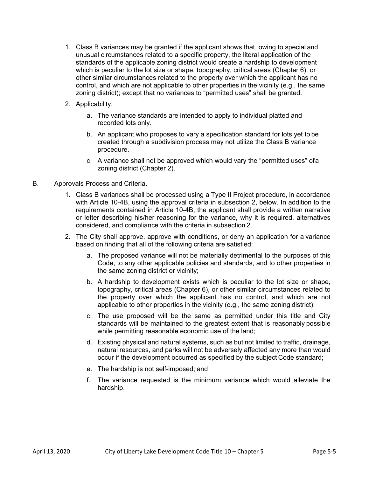- 1. Class B variances may be granted if the applicant shows that, owing to special and unusual circumstances related to a specific property, the literal application of the standards of the applicable zoning district would create a hardship to development which is peculiar to the lot size or shape, topography, critical areas (Chapter 6), or other similar circumstances related to the property over which the applicant has no control, and which are not applicable to other properties in the vicinity (e.g., the same zoning district); except that no variances to "permitted uses" shall be granted.
- 2. Applicability.
	- a. The variance standards are intended to apply to individual platted and recorded lots only.
	- b. An applicant who proposes to vary a specification standard for lots yet to be created through a subdivision process may not utilize the Class B variance procedure.
	- c. A variance shall not be approved which would vary the "permitted uses" ofa zoning district (Chapter 2).

#### B. Approvals Process and Criteria.

- 1. Class B variances shall be processed using a Type II Project procedure, in accordance with Article 10-4B, using the approval criteria in subsection 2, below. In addition to the requirements contained in Article 10-4B, the applicant shall provide a written narrative or letter describing his/her reasoning for the variance, why it is required, alternatives considered, and compliance with the criteria in subsection 2.
- 2. The City shall approve, approve with conditions, or deny an application for a variance based on finding that all of the following criteria are satisfied:
	- a. The proposed variance will not be materially detrimental to the purposes of this Code, to any other applicable policies and standards, and to other properties in the same zoning district or vicinity;
	- b. A hardship to development exists which is peculiar to the lot size or shape, topography, critical areas (Chapter 6), or other similar circumstances related to the property over which the applicant has no control, and which are not applicable to other properties in the vicinity (e.g., the same zoning district);
	- c. The use proposed will be the same as permitted under this title and City standards will be maintained to the greatest extent that is reasonably possible while permitting reasonable economic use of the land;
	- d. Existing physical and natural systems, such as but not limited to traffic, drainage, natural resources, and parks will not be adversely affected any more than would occur if the development occurred as specified by the subject Code standard;
	- e. The hardship is not self-imposed; and
	- f. The variance requested is the minimum variance which would alleviate the hardship.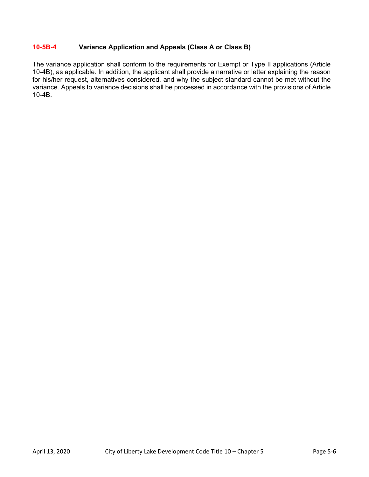#### **10-5B-4 Variance Application and Appeals (Class A or Class B)**

The variance application shall conform to the requirements for Exempt or Type II applications (Article 10-4B), as applicable. In addition, the applicant shall provide a narrative or letter explaining the reason for his/her request, alternatives considered, and why the subject standard cannot be met without the variance. Appeals to variance decisions shall be processed in accordance with the provisions of Article 10-4B.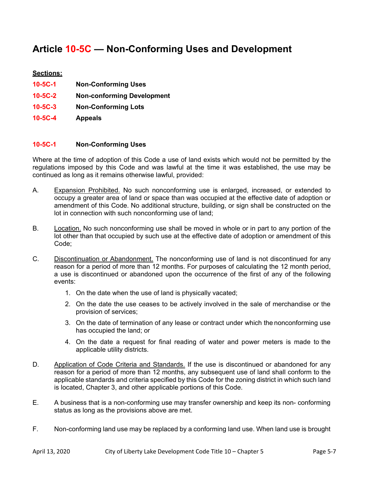## **Article 10-5C — Non-Conforming Uses and Development**

#### **Sections:**

- **10-5C-1 Non-Conforming Uses**
- **10-5C-2 Non-conforming Development**
- **10-5C-3 Non-Conforming Lots**
- **10-5C-4 Appeals**

#### **10-5C-1 Non-Conforming Uses**

Where at the time of adoption of this Code a use of land exists which would not be permitted by the regulations imposed by this Code and was lawful at the time it was established, the use may be continued as long as it remains otherwise lawful, provided:

- A. Expansion Prohibited. No such nonconforming use is enlarged, increased, or extended to occupy a greater area of land or space than was occupied at the effective date of adoption or amendment of this Code. No additional structure, building, or sign shall be constructed on the lot in connection with such nonconforming use of land;
- B. Location. No such nonconforming use shall be moved in whole or in part to any portion of the lot other than that occupied by such use at the effective date of adoption or amendment of this Code;
- C. Discontinuation or Abandonment. The nonconforming use of land is not discontinued for any reason for a period of more than 12 months. For purposes of calculating the 12 month period, a use is discontinued or abandoned upon the occurrence of the first of any of the following events:
	- 1. On the date when the use of land is physically vacated;
	- 2. On the date the use ceases to be actively involved in the sale of merchandise or the provision of services;
	- 3. On the date of termination of any lease or contract under which the nonconforming use has occupied the land; or
	- 4. On the date a request for final reading of water and power meters is made to the applicable utility districts.
- D. Application of Code Criteria and Standards. If the use is discontinued or abandoned for any reason for a period of more than 12 months, any subsequent use of land shall conform to the applicable standards and criteria specified by this Code for the zoning district in which such land is located, Chapter 3, and other applicable portions of this Code.
- E. A business that is a non-conforming use may transfer ownership and keep its non- conforming status as long as the provisions above are met.
- F. Non-conforming land use may be replaced by a conforming land use. When land use is brought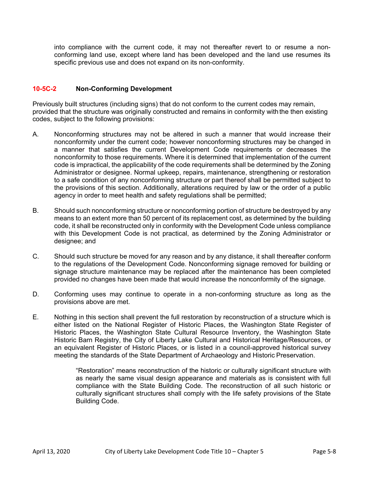into compliance with the current code, it may not thereafter revert to or resume a nonconforming land use, except where land has been developed and the land use resumes its specific previous use and does not expand on its non-conformity.

#### **10-5C-2 Non-Conforming Development**

Previously built structures (including signs) that do not conform to the current codes may remain, provided that the structure was originally constructed and remains in conformity withthe then existing codes, subject to the following provisions:

- A. Nonconforming structures may not be altered in such a manner that would increase their nonconformity under the current code; however nonconforming structures may be changed in a manner that satisfies the current Development Code requirements or decreases the nonconformity to those requirements. Where it is determined that implementation of the current code is impractical, the applicability of the code requirements shall be determined by the Zoning Administrator or designee. Normal upkeep, repairs, maintenance, strengthening or restoration to a safe condition of any nonconforming structure or part thereof shall be permitted subject to the provisions of this section. Additionally, alterations required by law or the order of a public agency in order to meet health and safety regulations shall be permitted;
- B. Should such nonconforming structure or nonconforming portion of structure bedestroyed by any means to an extent more than 50 percent of its replacement cost, as determined by the building code, it shall be reconstructed only in conformity with the Development Code unless compliance with this Development Code is not practical, as determined by the Zoning Administrator or designee; and
- C. Should such structure be moved for any reason and by any distance, it shall thereafter conform to the regulations of the Development Code. Nonconforming signage removed for building or signage structure maintenance may be replaced after the maintenance has been completed provided no changes have been made that would increase the nonconformity of the signage.
- D. Conforming uses may continue to operate in a non-conforming structure as long as the provisions above are met.
- E. Nothing in this section shall prevent the full restoration by reconstruction of a structure which is either listed on the National Register of Historic Places, the Washington State Register of Historic Places, the Washington State Cultural Resource Inventory, the Washington State Historic Barn Registry, the City of Liberty Lake Cultural and Historical Heritage/Resources, or an equivalent Register of Historic Places, or is listed in a council-approved historical survey meeting the standards of the State Department of Archaeology and Historic Preservation.

"Restoration" means reconstruction of the historic or culturally significant structure with as nearly the same visual design appearance and materials as is consistent with full compliance with the State Building Code. The reconstruction of all such historic or culturally significant structures shall comply with the life safety provisions of the State Building Code.